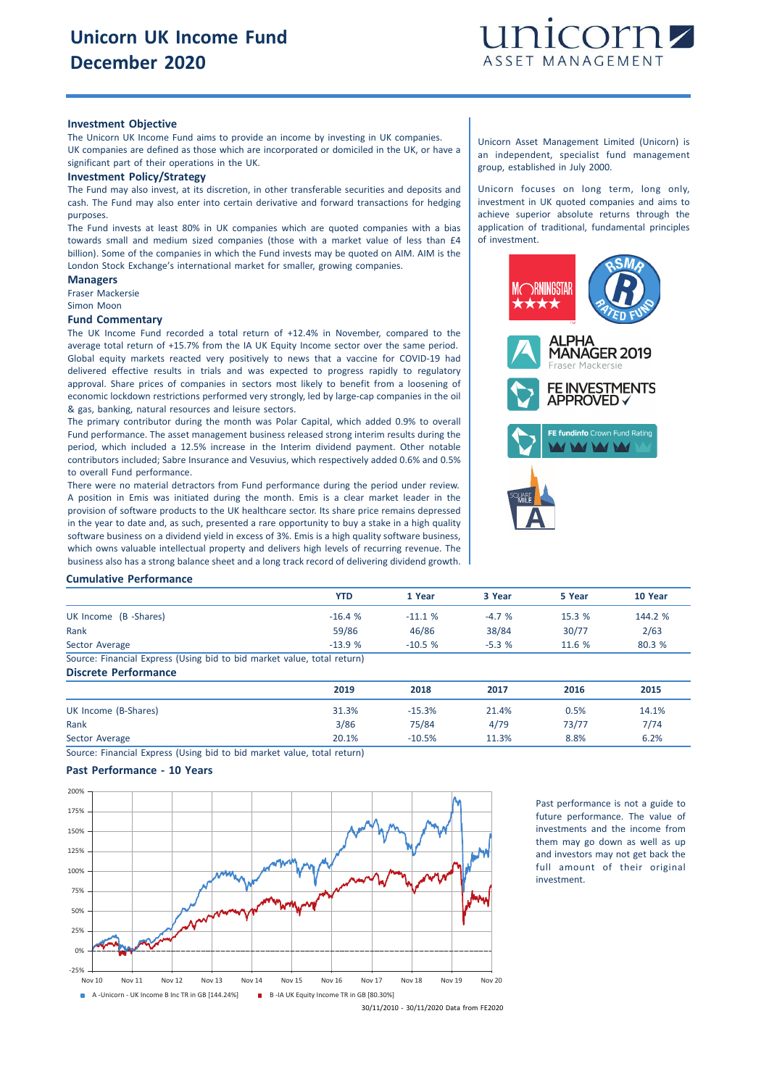

### **Investment Objective**

The Unicorn UK Income Fund aims to provide an income by investing in UK companies. UK companies are defined as those which are incorporated or domiciled in the UK, or have a significant part of their operations in the UK.

#### **Investment Policy/Strategy**

The Fund may also invest, at its discretion, in other transferable securities and deposits and cash. The Fund may also enter into certain derivative and forward transactions for hedging purposes.

The Fund invests at least 80% in UK companies which are quoted companies with a bias towards small and medium sized companies (those with a market value of less than £4 billion). Some of the companies in which the Fund invests may be quoted on AIM. AIM is the London Stock Exchange's international market for smaller, growing companies.

## **Managers**

Fraser Mackersie Simon Moon

# **Fund Commentary**

The UK Income Fund recorded a total return of +12.4% in November, compared to the average total return of +15.7% from the IA UK Equity Income sector over the same period. Global equity markets reacted very positively to news that a vaccine for COVID-19 had delivered effective results in trials and was expected to progress rapidly to regulatory approval. Share prices of companies in sectors most likely to benefit from a loosening of economic lockdown restrictions performed very strongly, led by large-cap companies in the oil & gas, banking, natural resources and leisure sectors.

The primary contributor during the month was Polar Capital, which added 0.9% to overall Fund performance. The asset management business released strong interim results during the period, which included a 12.5% increase in the Interim dividend payment. Other notable contributors included; Sabre Insurance and Vesuvius, which respectively added 0.6% and 0.5% to overall Fund performance.

There were no material detractors from Fund performance during the period under review. A position in Emis was initiated during the month. Emis is a clear market leader in the provision of software products to the UK healthcare sector. Its share price remains depressed in the year to date and, as such, presented a rare opportunity to buy a stake in a high quality software business on a dividend yield in excess of 3%. Emis is a high quality software business, which owns valuable intellectual property and delivers high levels of recurring revenue. The business also has a strong balance sheet and a long track record of delivering dividend growth.

Unicorn Asset Management Limited (Unicorn) is an independent, specialist fund management group, established in July 2000.

Unicorn focuses on long term, long only, investment in UK quoted companies and aims to achieve superior absolute returns through the application of traditional, fundamental principles of investment.



#### **Cumulative Performance**

|                                                                         | <b>YTD</b> | 1 Year   | 3 Year  | 5 Year | 10 Year |
|-------------------------------------------------------------------------|------------|----------|---------|--------|---------|
| UK Income (B -Shares)                                                   | $-16.4%$   | $-11.1%$ | $-4.7%$ | 15.3 % | 144.2 % |
| Rank                                                                    | 59/86      | 46/86    | 38/84   | 30/77  | 2/63    |
| Sector Average                                                          | $-13.9%$   | $-10.5%$ | $-5.3%$ | 11.6%  | 80.3 %  |
| Source: Financial Express (Using bid to bid market value, total return) |            |          |         |        |         |
| <b>Discrete Performance</b>                                             |            |          |         |        |         |

**2019 2018 2017 2016 2015** UK Income (B-Shares) 31.3% -15.3% 21.4% 0.5% 14.1% Rank 3/86 75/84 4/79 73/77 7/74 Sector Average 20.1% -10.5% 11.3% 8.8% 6.2%

Source: Financial Express (Using bid to bid market value, total return)

## **Past Performance - 10 Years**



Past performance is not a guide to future performance. The value of investments and the income from them may go down as well as up and investors may not get back the full amount of their original investment.